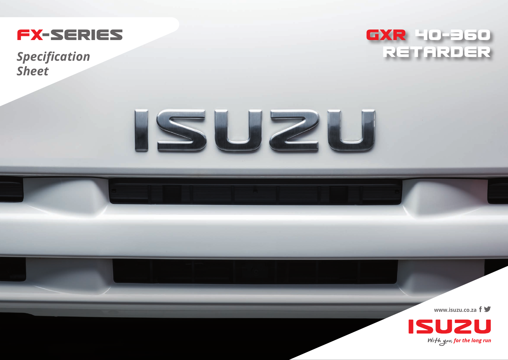

**Specification Sheet** 





www.isuzu.co.za  $f \blacktriangleright$